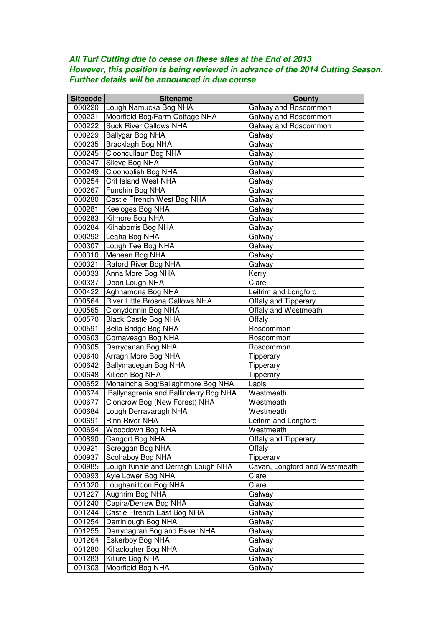## **All Turf Cutting due to cease on these sites at the End of 2013 However, this position is being reviewed in advance of the 2014 Cutting Season. Further details will be announced in due course**

| <b>Sitecode</b> | <b>Sitename</b>                       | <b>County</b>                 |
|-----------------|---------------------------------------|-------------------------------|
| 000220          | Lough Namucka Bog NHA                 | Galway and Roscommon          |
| 000221          | Moorfield Bog/Farm Cottage NHA        | Galway and Roscommon          |
| 000222          | <b>Suck River Callows NHA</b>         | Galway and Roscommon          |
| 000229          | Ballygar Bog NHA                      | Galway                        |
| 000235          | Bracklagh Bog NHA                     | Galway                        |
| 000245          | Clooncullaun Bog NHA                  | Galway                        |
| 000247          | Slieve Bog NHA                        | Galway                        |
| 000249          | Cloonoolish Bog NHA                   | Galway                        |
| 000254          | <b>Crit Island West NHA</b>           | Galway                        |
| 000267          | Funshin Bog NHA                       | Galway                        |
| 000280          | Castle Ffrench West Bog NHA           | Galway                        |
| 000281          | Keeloges Bog NHA                      | Galway                        |
| 000283          | Kilmore Bog NHA                       | Galway                        |
| 000284          | Kilnaborris Bog NHA                   | Galway                        |
| 000292          | Leaha Bog NHA                         | Galway                        |
| 000307          | Lough Tee Bog NHA                     | Galway                        |
| 000310          | Meneen Bog NHA                        | Galway                        |
| 000321          | Raford River Bog NHA                  | Galway                        |
| 000333          | Anna More Bog NHA                     | Kerry                         |
| 000337          | Doon Lough NHA                        | Clare                         |
| 000422          | Aghnamona Bog NHA                     | Leitrim and Longford          |
| 000564          | River Little Brosna Callows NHA       | Offaly and Tipperary          |
| 000565          | Clonydonnin Bog NHA                   | Offaly and Westmeath          |
| 000570          | <b>Black Castle Bog NHA</b>           | Offaly                        |
| 000591          | Bella Bridge Bog NHA                  | Roscommon                     |
| 000603          | Cornaveagh Bog NHA                    | Roscommon                     |
| 000605          | Derrycanan Bog NHA                    | Roscommon                     |
| 000640          | Arragh More Bog NHA                   | Tipperary                     |
| 000642          | Ballymacegan Bog NHA                  | Tipperary                     |
| 000648          | Killeen Bog NHA                       | Tipperary                     |
| 000652          | Monaincha Bog/Ballaghmore Bog NHA     | Laois                         |
| 000674          | Ballynagrenia and Ballinderry Bog NHA | Westmeath                     |
| 000677          | Cloncrow Bog (New Forest) NHA         | Westmeath                     |
| 000684          | Lough Derravaragh NHA                 | Westmeath                     |
| 000691          | <b>Rinn River NHA</b>                 | Leitrim and Longford          |
| 000694          | Wooddown Bog NHA                      | Westmeath                     |
| 000890          | Cangort Bog NHA                       | Offaly and Tipperary          |
| 000921          | Screggan Bog NHA                      | Offaly                        |
| 000937          | Scohaboy Bog NHA                      | Tipperary                     |
| 000985          | Lough Kinale and Derragh Lough NHA    | Cavan, Longford and Westmeath |
| 000993          | Ayle Lower Bog NHA                    | Clare                         |
| 001020          | Loughanilloon Bog NHA                 | Clare                         |
| 001227          | Aughrim Bog NHA                       | Galway                        |
| 001240          | Capira/Derrew Bog NHA                 | Galway                        |
| 001244          | Castle Ffrench East Bog NHA           | Galway                        |
| 001254          | Derrinlough Bog NHA                   | Galway                        |
| 001255          | Derrynagran Bog and Esker NHA         | Galway                        |
| 001264          | Eskerboy Bog NHA                      | Galway                        |
| 001280          | Killaclogher Bog NHA                  | Galway                        |
| 001283          | Killure Bog NHA                       | Galway                        |
| 001303          | Moorfield Bog NHA                     | Galway                        |